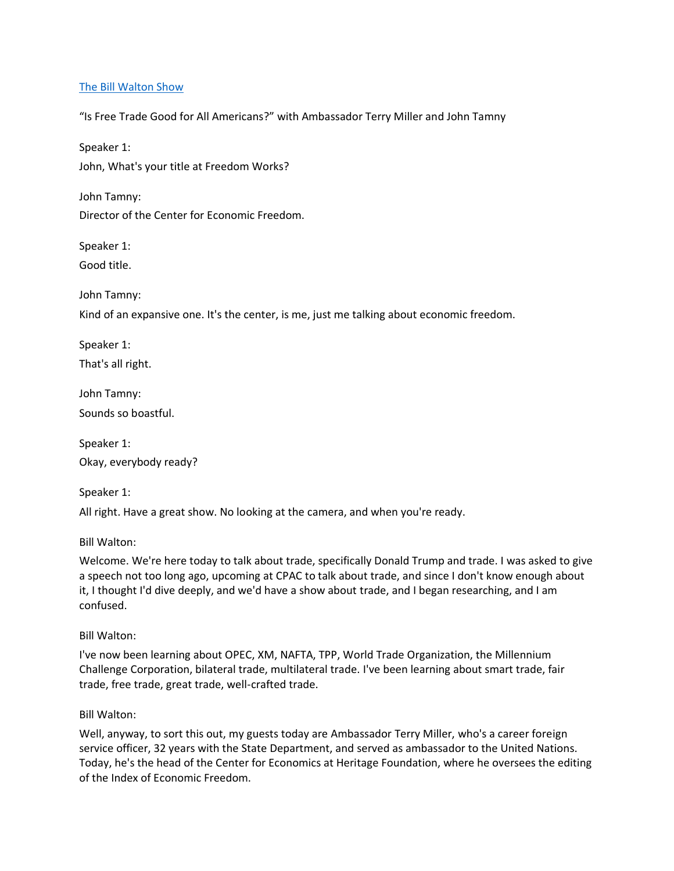## [The Bill Walton Show](https://thebillwaltonshow.com/)

"Is Free Trade Good for All Americans?" with Ambassador Terry Miller and John Tamny

Speaker 1: John, What's your title at Freedom Works?

John Tamny: Director of the Center for Economic Freedom.

Speaker 1:

Good title.

John Tamny:

Kind of an expansive one. It's the center, is me, just me talking about economic freedom.

Speaker 1:

That's all right.

John Tamny: Sounds so boastful.

Speaker 1: Okay, everybody ready?

Speaker 1: All right. Have a great show. No looking at the camera, and when you're ready.

Bill Walton:

Welcome. We're here today to talk about trade, specifically Donald Trump and trade. I was asked to give a speech not too long ago, upcoming at CPAC to talk about trade, and since I don't know enough about it, I thought I'd dive deeply, and we'd have a show about trade, and I began researching, and I am confused.

Bill Walton:

I've now been learning about OPEC, XM, NAFTA, TPP, World Trade Organization, the Millennium Challenge Corporation, bilateral trade, multilateral trade. I've been learning about smart trade, fair trade, free trade, great trade, well-crafted trade.

Bill Walton:

Well, anyway, to sort this out, my guests today are Ambassador Terry Miller, who's a career foreign service officer, 32 years with the State Department, and served as ambassador to the United Nations. Today, he's the head of the Center for Economics at Heritage Foundation, where he oversees the editing of the Index of Economic Freedom.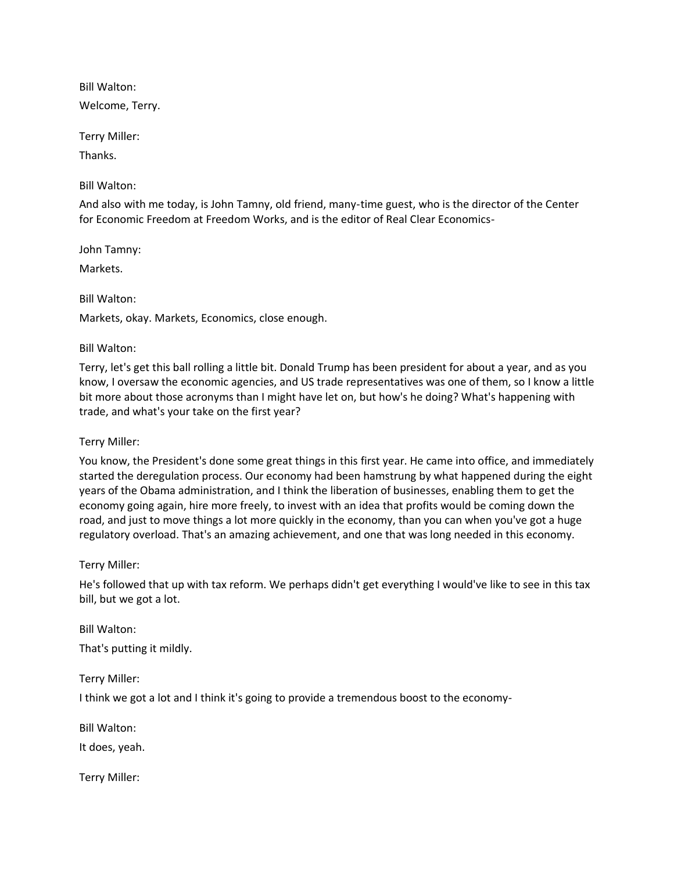Welcome, Terry.

Terry Miller:

Thanks.

Bill Walton:

And also with me today, is John Tamny, old friend, many-time guest, who is the director of the Center for Economic Freedom at Freedom Works, and is the editor of Real Clear Economics-

John Tamny:

Markets.

# Bill Walton:

Markets, okay. Markets, Economics, close enough.

# Bill Walton:

Terry, let's get this ball rolling a little bit. Donald Trump has been president for about a year, and as you know, I oversaw the economic agencies, and US trade representatives was one of them, so I know a little bit more about those acronyms than I might have let on, but how's he doing? What's happening with trade, and what's your take on the first year?

## Terry Miller:

You know, the President's done some great things in this first year. He came into office, and immediately started the deregulation process. Our economy had been hamstrung by what happened during the eight years of the Obama administration, and I think the liberation of businesses, enabling them to get the economy going again, hire more freely, to invest with an idea that profits would be coming down the road, and just to move things a lot more quickly in the economy, than you can when you've got a huge regulatory overload. That's an amazing achievement, and one that was long needed in this economy.

## Terry Miller:

He's followed that up with tax reform. We perhaps didn't get everything I would've like to see in this tax bill, but we got a lot.

Bill Walton: That's putting it mildly.

Terry Miller:

I think we got a lot and I think it's going to provide a tremendous boost to the economy-

Bill Walton:

It does, yeah.

Terry Miller: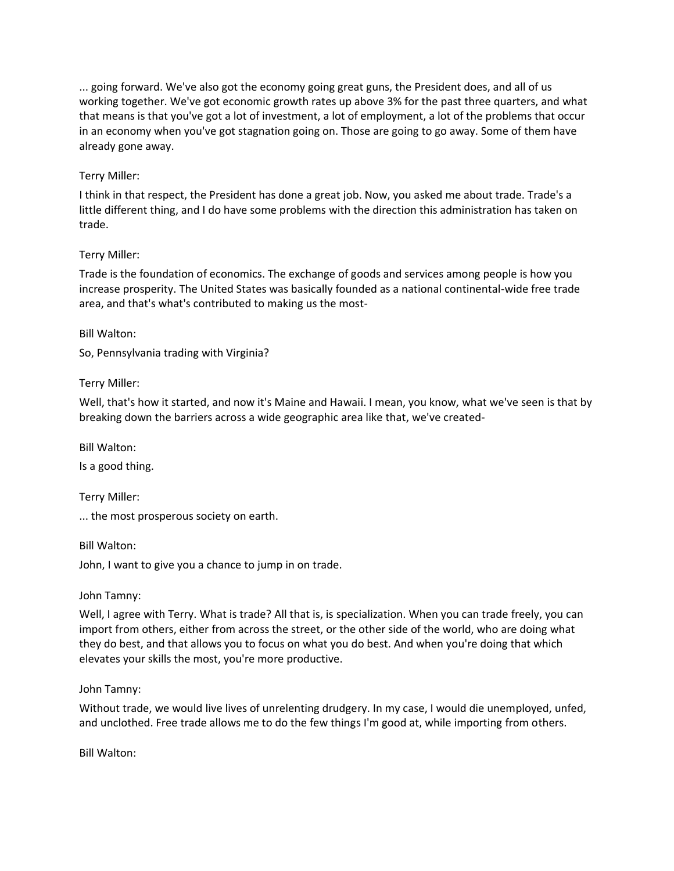... going forward. We've also got the economy going great guns, the President does, and all of us working together. We've got economic growth rates up above 3% for the past three quarters, and what that means is that you've got a lot of investment, a lot of employment, a lot of the problems that occur in an economy when you've got stagnation going on. Those are going to go away. Some of them have already gone away.

## Terry Miller:

I think in that respect, the President has done a great job. Now, you asked me about trade. Trade's a little different thing, and I do have some problems with the direction this administration has taken on trade.

## Terry Miller:

Trade is the foundation of economics. The exchange of goods and services among people is how you increase prosperity. The United States was basically founded as a national continental-wide free trade area, and that's what's contributed to making us the most-

## Bill Walton:

So, Pennsylvania trading with Virginia?

# Terry Miller:

Well, that's how it started, and now it's Maine and Hawaii. I mean, you know, what we've seen is that by breaking down the barriers across a wide geographic area like that, we've created-

Bill Walton:

Is a good thing.

Terry Miller:

... the most prosperous society on earth.

Bill Walton:

John, I want to give you a chance to jump in on trade.

## John Tamny:

Well, I agree with Terry. What is trade? All that is, is specialization. When you can trade freely, you can import from others, either from across the street, or the other side of the world, who are doing what they do best, and that allows you to focus on what you do best. And when you're doing that which elevates your skills the most, you're more productive.

## John Tamny:

Without trade, we would live lives of unrelenting drudgery. In my case, I would die unemployed, unfed, and unclothed. Free trade allows me to do the few things I'm good at, while importing from others.

Bill Walton: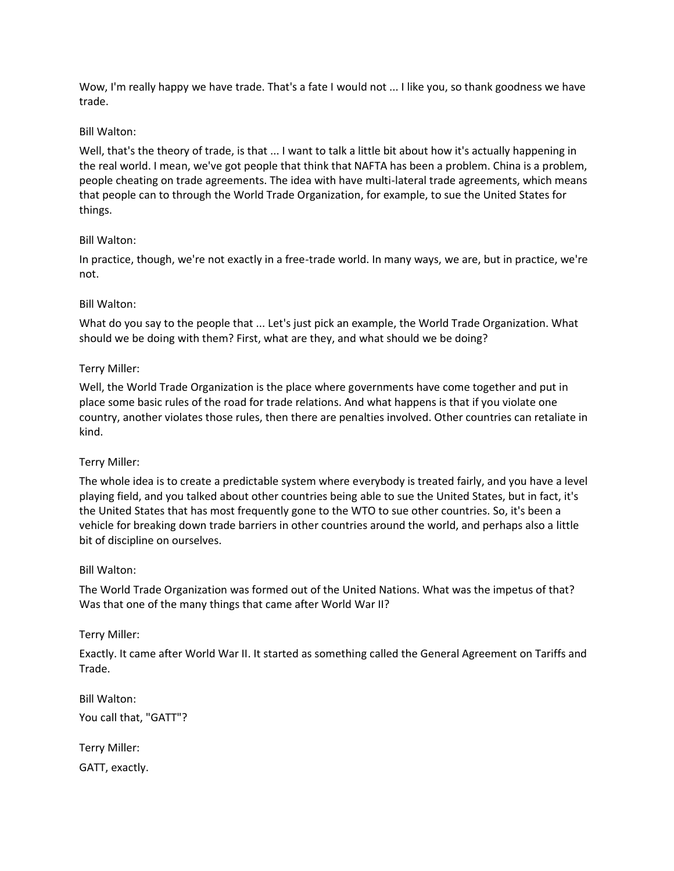Wow, I'm really happy we have trade. That's a fate I would not ... I like you, so thank goodness we have trade.

## Bill Walton:

Well, that's the theory of trade, is that ... I want to talk a little bit about how it's actually happening in the real world. I mean, we've got people that think that NAFTA has been a problem. China is a problem, people cheating on trade agreements. The idea with have multi-lateral trade agreements, which means that people can to through the World Trade Organization, for example, to sue the United States for things.

# Bill Walton:

In practice, though, we're not exactly in a free-trade world. In many ways, we are, but in practice, we're not.

# Bill Walton:

What do you say to the people that ... Let's just pick an example, the World Trade Organization. What should we be doing with them? First, what are they, and what should we be doing?

# Terry Miller:

Well, the World Trade Organization is the place where governments have come together and put in place some basic rules of the road for trade relations. And what happens is that if you violate one country, another violates those rules, then there are penalties involved. Other countries can retaliate in kind.

## Terry Miller:

The whole idea is to create a predictable system where everybody is treated fairly, and you have a level playing field, and you talked about other countries being able to sue the United States, but in fact, it's the United States that has most frequently gone to the WTO to sue other countries. So, it's been a vehicle for breaking down trade barriers in other countries around the world, and perhaps also a little bit of discipline on ourselves.

## Bill Walton:

The World Trade Organization was formed out of the United Nations. What was the impetus of that? Was that one of the many things that came after World War II?

# Terry Miller:

Exactly. It came after World War II. It started as something called the General Agreement on Tariffs and Trade.

Bill Walton: You call that, "GATT"?

Terry Miller: GATT, exactly.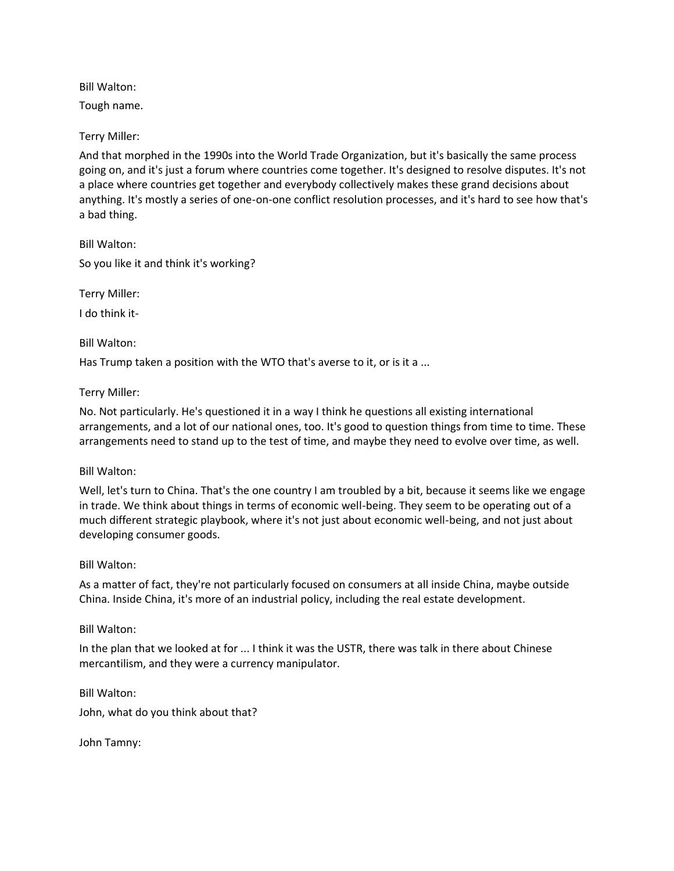Tough name.

Terry Miller:

And that morphed in the 1990s into the World Trade Organization, but it's basically the same process going on, and it's just a forum where countries come together. It's designed to resolve disputes. It's not a place where countries get together and everybody collectively makes these grand decisions about anything. It's mostly a series of one-on-one conflict resolution processes, and it's hard to see how that's a bad thing.

Bill Walton: So you like it and think it's working?

Terry Miller:

I do think it-

Bill Walton:

Has Trump taken a position with the WTO that's averse to it, or is it a ...

Terry Miller:

No. Not particularly. He's questioned it in a way I think he questions all existing international arrangements, and a lot of our national ones, too. It's good to question things from time to time. These arrangements need to stand up to the test of time, and maybe they need to evolve over time, as well.

## Bill Walton:

Well, let's turn to China. That's the one country I am troubled by a bit, because it seems like we engage in trade. We think about things in terms of economic well-being. They seem to be operating out of a much different strategic playbook, where it's not just about economic well-being, and not just about developing consumer goods.

## Bill Walton:

As a matter of fact, they're not particularly focused on consumers at all inside China, maybe outside China. Inside China, it's more of an industrial policy, including the real estate development.

# Bill Walton:

In the plan that we looked at for ... I think it was the USTR, there was talk in there about Chinese mercantilism, and they were a currency manipulator.

Bill Walton:

John, what do you think about that?

John Tamny: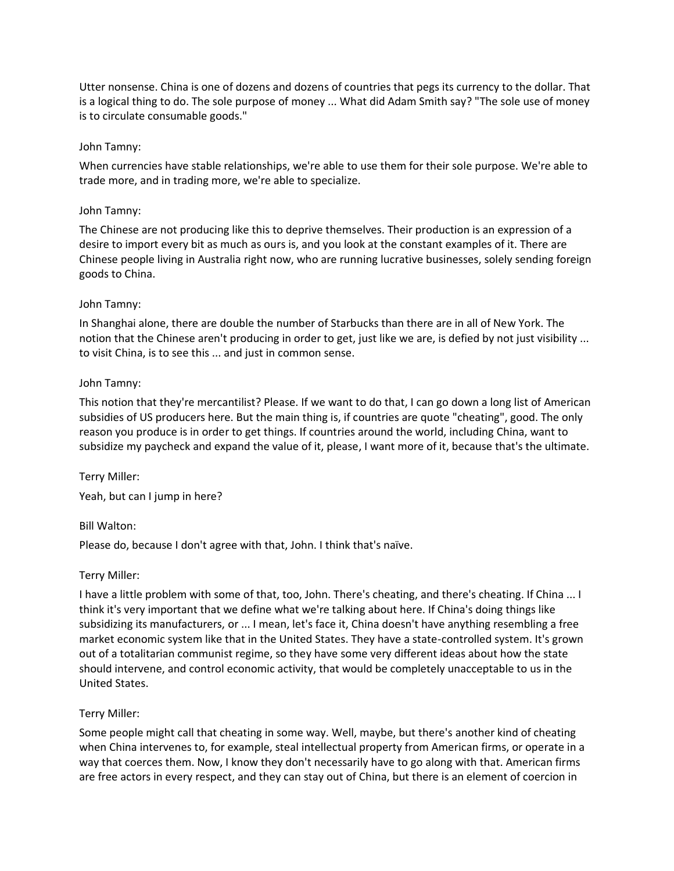Utter nonsense. China is one of dozens and dozens of countries that pegs its currency to the dollar. That is a logical thing to do. The sole purpose of money ... What did Adam Smith say? "The sole use of money is to circulate consumable goods."

#### John Tamny:

When currencies have stable relationships, we're able to use them for their sole purpose. We're able to trade more, and in trading more, we're able to specialize.

#### John Tamny:

The Chinese are not producing like this to deprive themselves. Their production is an expression of a desire to import every bit as much as ours is, and you look at the constant examples of it. There are Chinese people living in Australia right now, who are running lucrative businesses, solely sending foreign goods to China.

#### John Tamny:

In Shanghai alone, there are double the number of Starbucks than there are in all of New York. The notion that the Chinese aren't producing in order to get, just like we are, is defied by not just visibility ... to visit China, is to see this ... and just in common sense.

#### John Tamny:

This notion that they're mercantilist? Please. If we want to do that, I can go down a long list of American subsidies of US producers here. But the main thing is, if countries are quote "cheating", good. The only reason you produce is in order to get things. If countries around the world, including China, want to subsidize my paycheck and expand the value of it, please, I want more of it, because that's the ultimate.

Terry Miller: Yeah, but can I jump in here?

## Bill Walton:

Please do, because I don't agree with that, John. I think that's naïve.

## Terry Miller:

I have a little problem with some of that, too, John. There's cheating, and there's cheating. If China ... I think it's very important that we define what we're talking about here. If China's doing things like subsidizing its manufacturers, or ... I mean, let's face it, China doesn't have anything resembling a free market economic system like that in the United States. They have a state-controlled system. It's grown out of a totalitarian communist regime, so they have some very different ideas about how the state should intervene, and control economic activity, that would be completely unacceptable to us in the United States.

## Terry Miller:

Some people might call that cheating in some way. Well, maybe, but there's another kind of cheating when China intervenes to, for example, steal intellectual property from American firms, or operate in a way that coerces them. Now, I know they don't necessarily have to go along with that. American firms are free actors in every respect, and they can stay out of China, but there is an element of coercion in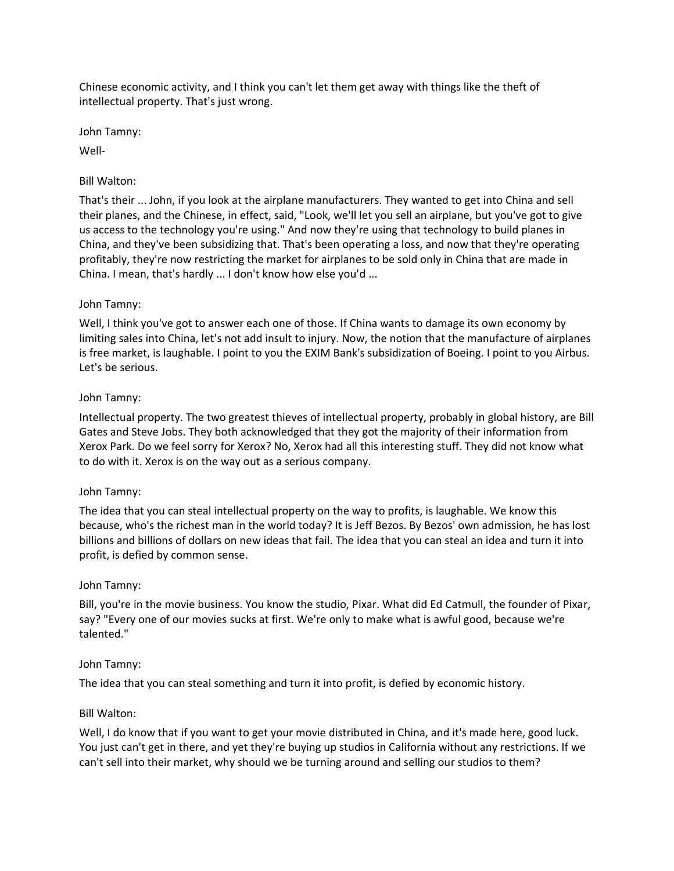Chinese economic activity, and I think you can't let them get away with things like the theft of intellectual property. That's just wrong.

John Tamny:

Well-

# Bill Walton:

That's their ... John, if you look at the airplane manufacturers. They wanted to get into China and sell their planes, and the Chinese, in effect, said, "Look, we'll let you sell an airplane, but you've got to give us access to the technology you're using." And now they're using that technology to build planes in China, and they've been subsidizing that. That's been operating a loss, and now that they're operating profitably, they're now restricting the market for airplanes to be sold only in China that are made in China. I mean, that's hardly ... I don't know how else you'd ...

# John Tamny:

Well, I think you've got to answer each one of those. If China wants to damage its own economy by limiting sales into China, let's not add insult to injury. Now, the notion that the manufacture of airplanes is free market, is laughable. I point to you the EXIM Bank's subsidization of Boeing. I point to you Airbus. Let's be serious.

# John Tamny:

Intellectual property. The two greatest thieves of intellectual property, probably in global history, are Bill Gates and Steve Jobs. They both acknowledged that they got the majority of their information from Xerox Park. Do we feel sorry for Xerox? No, Xerox had all this interesting stuff. They did not know what to do with it. Xerox is on the way out as a serious company.

## John Tamny:

The idea that you can steal intellectual property on the way to profits, is laughable. We know this because, who's the richest man in the world today? It is Jeff Bezos. By Bezos' own admission, he has lost billions and billions of dollars on new ideas that fail. The idea that you can steal an idea and turn it into profit, is defied by common sense.

## John Tamny:

Bill, you're in the movie business. You know the studio, Pixar. What did Ed Catmull, the founder of Pixar, say? "Every one of our movies sucks at first. We're only to make what is awful good, because we're talented."

## John Tamny:

The idea that you can steal something and turn it into profit, is defied by economic history.

# Bill Walton:

Well, I do know that if you want to get your movie distributed in China, and it's made here, good luck. You just can't get in there, and yet they're buying up studios in California without any restrictions. If we can't sell into their market, why should we be turning around and selling our studios to them?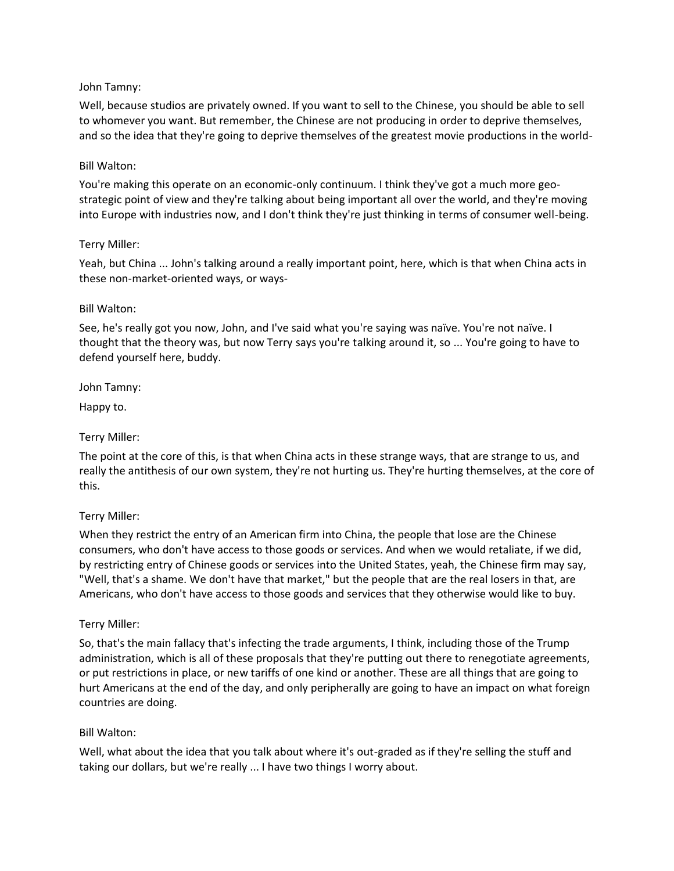## John Tamny:

Well, because studios are privately owned. If you want to sell to the Chinese, you should be able to sell to whomever you want. But remember, the Chinese are not producing in order to deprive themselves, and so the idea that they're going to deprive themselves of the greatest movie productions in the world-

# Bill Walton:

You're making this operate on an economic-only continuum. I think they've got a much more geostrategic point of view and they're talking about being important all over the world, and they're moving into Europe with industries now, and I don't think they're just thinking in terms of consumer well-being.

# Terry Miller:

Yeah, but China ... John's talking around a really important point, here, which is that when China acts in these non-market-oriented ways, or ways-

## Bill Walton:

See, he's really got you now, John, and I've said what you're saying was naïve. You're not naïve. I thought that the theory was, but now Terry says you're talking around it, so ... You're going to have to defend yourself here, buddy.

John Tamny:

Happy to.

Terry Miller:

The point at the core of this, is that when China acts in these strange ways, that are strange to us, and really the antithesis of our own system, they're not hurting us. They're hurting themselves, at the core of this.

## Terry Miller:

When they restrict the entry of an American firm into China, the people that lose are the Chinese consumers, who don't have access to those goods or services. And when we would retaliate, if we did, by restricting entry of Chinese goods or services into the United States, yeah, the Chinese firm may say, "Well, that's a shame. We don't have that market," but the people that are the real losers in that, are Americans, who don't have access to those goods and services that they otherwise would like to buy.

## Terry Miller:

So, that's the main fallacy that's infecting the trade arguments, I think, including those of the Trump administration, which is all of these proposals that they're putting out there to renegotiate agreements, or put restrictions in place, or new tariffs of one kind or another. These are all things that are going to hurt Americans at the end of the day, and only peripherally are going to have an impact on what foreign countries are doing.

## Bill Walton:

Well, what about the idea that you talk about where it's out-graded as if they're selling the stuff and taking our dollars, but we're really ... I have two things I worry about.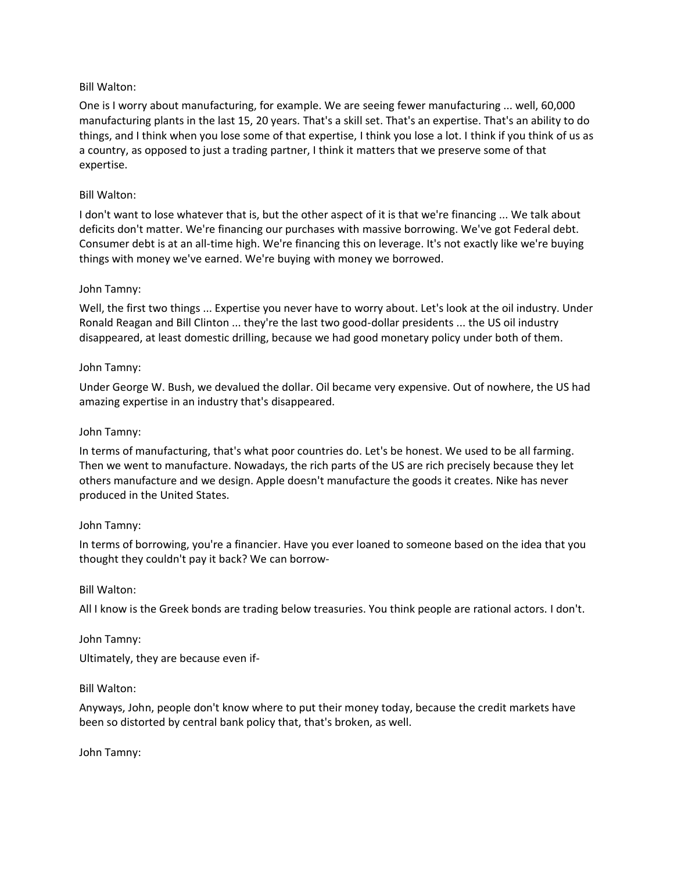One is I worry about manufacturing, for example. We are seeing fewer manufacturing ... well, 60,000 manufacturing plants in the last 15, 20 years. That's a skill set. That's an expertise. That's an ability to do things, and I think when you lose some of that expertise, I think you lose a lot. I think if you think of us as a country, as opposed to just a trading partner, I think it matters that we preserve some of that expertise.

#### Bill Walton:

I don't want to lose whatever that is, but the other aspect of it is that we're financing ... We talk about deficits don't matter. We're financing our purchases with massive borrowing. We've got Federal debt. Consumer debt is at an all-time high. We're financing this on leverage. It's not exactly like we're buying things with money we've earned. We're buying with money we borrowed.

#### John Tamny:

Well, the first two things ... Expertise you never have to worry about. Let's look at the oil industry. Under Ronald Reagan and Bill Clinton ... they're the last two good-dollar presidents ... the US oil industry disappeared, at least domestic drilling, because we had good monetary policy under both of them.

#### John Tamny:

Under George W. Bush, we devalued the dollar. Oil became very expensive. Out of nowhere, the US had amazing expertise in an industry that's disappeared.

#### John Tamny:

In terms of manufacturing, that's what poor countries do. Let's be honest. We used to be all farming. Then we went to manufacture. Nowadays, the rich parts of the US are rich precisely because they let others manufacture and we design. Apple doesn't manufacture the goods it creates. Nike has never produced in the United States.

#### John Tamny:

In terms of borrowing, you're a financier. Have you ever loaned to someone based on the idea that you thought they couldn't pay it back? We can borrow-

#### Bill Walton:

All I know is the Greek bonds are trading below treasuries. You think people are rational actors. I don't.

#### John Tamny:

Ultimately, they are because even if-

#### Bill Walton:

Anyways, John, people don't know where to put their money today, because the credit markets have been so distorted by central bank policy that, that's broken, as well.

John Tamny: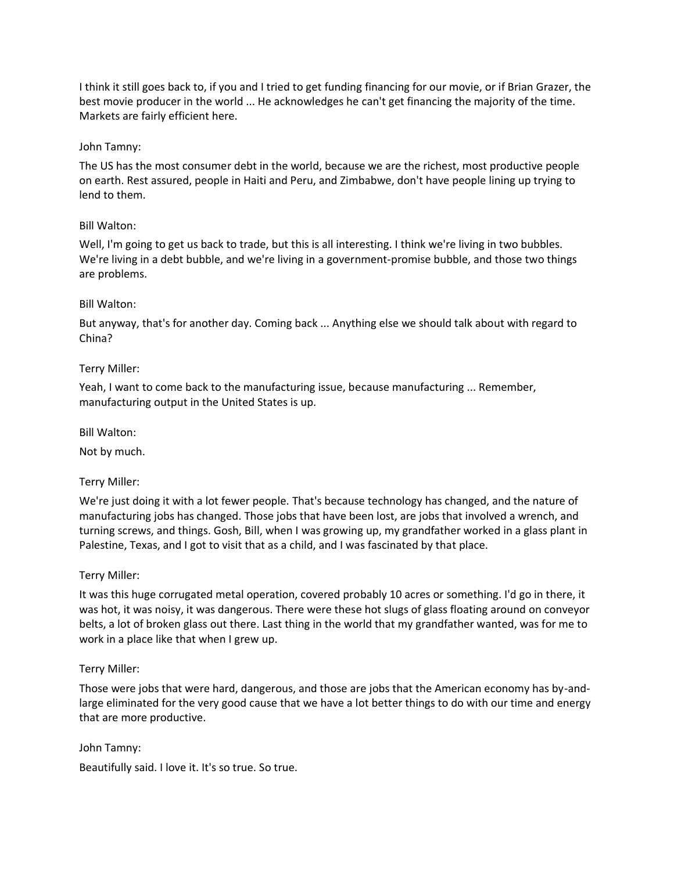I think it still goes back to, if you and I tried to get funding financing for our movie, or if Brian Grazer, the best movie producer in the world ... He acknowledges he can't get financing the majority of the time. Markets are fairly efficient here.

## John Tamny:

The US has the most consumer debt in the world, because we are the richest, most productive people on earth. Rest assured, people in Haiti and Peru, and Zimbabwe, don't have people lining up trying to lend to them.

# Bill Walton:

Well, I'm going to get us back to trade, but this is all interesting. I think we're living in two bubbles. We're living in a debt bubble, and we're living in a government-promise bubble, and those two things are problems.

# Bill Walton:

But anyway, that's for another day. Coming back ... Anything else we should talk about with regard to China?

# Terry Miller:

Yeah, I want to come back to the manufacturing issue, because manufacturing ... Remember, manufacturing output in the United States is up.

## Bill Walton:

Not by much.

## Terry Miller:

We're just doing it with a lot fewer people. That's because technology has changed, and the nature of manufacturing jobs has changed. Those jobs that have been lost, are jobs that involved a wrench, and turning screws, and things. Gosh, Bill, when I was growing up, my grandfather worked in a glass plant in Palestine, Texas, and I got to visit that as a child, and I was fascinated by that place.

## Terry Miller:

It was this huge corrugated metal operation, covered probably 10 acres or something. I'd go in there, it was hot, it was noisy, it was dangerous. There were these hot slugs of glass floating around on conveyor belts, a lot of broken glass out there. Last thing in the world that my grandfather wanted, was for me to work in a place like that when I grew up.

## Terry Miller:

Those were jobs that were hard, dangerous, and those are jobs that the American economy has by-andlarge eliminated for the very good cause that we have a lot better things to do with our time and energy that are more productive.

John Tamny: Beautifully said. I love it. It's so true. So true.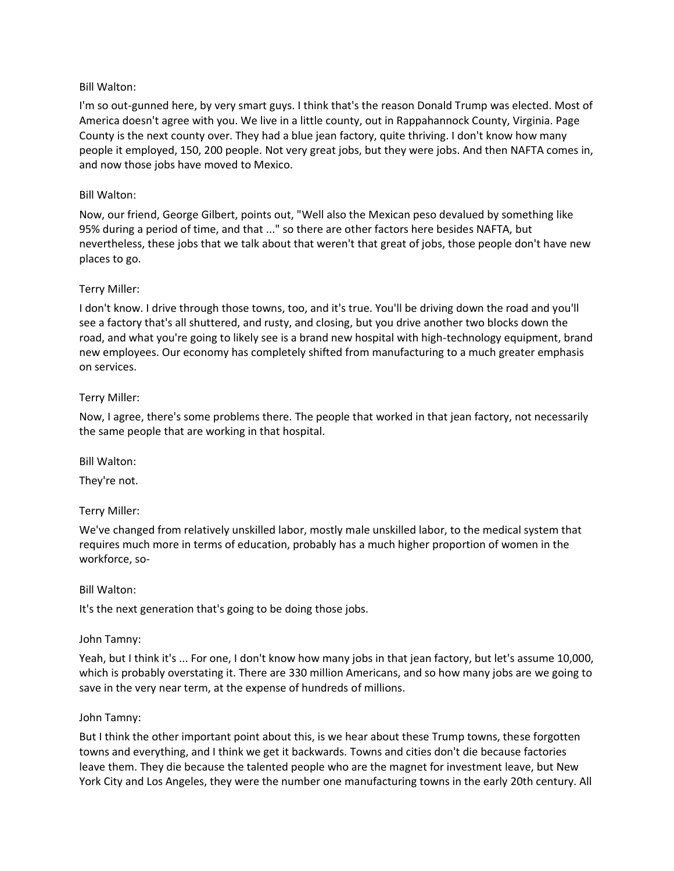I'm so out-gunned here, by very smart guys. I think that's the reason Donald Trump was elected. Most of America doesn't agree with you. We live in a little county, out in Rappahannock County, Virginia. Page County is the next county over. They had a blue jean factory, quite thriving. I don't know how many people it employed, 150, 200 people. Not very great jobs, but they were jobs. And then NAFTA comes in, and now those jobs have moved to Mexico.

#### Bill Walton:

Now, our friend, George Gilbert, points out, "Well also the Mexican peso devalued by something like 95% during a period of time, and that ..." so there are other factors here besides NAFTA, but nevertheless, these jobs that we talk about that weren't that great of jobs, those people don't have new places to go.

#### Terry Miller:

I don't know. I drive through those towns, too, and it's true. You'll be driving down the road and you'll see a factory that's all shuttered, and rusty, and closing, but you drive another two blocks down the road, and what you're going to likely see is a brand new hospital with high-technology equipment, brand new employees. Our economy has completely shifted from manufacturing to a much greater emphasis on services.

#### Terry Miller:

Now, I agree, there's some problems there. The people that worked in that jean factory, not necessarily the same people that are working in that hospital.

#### Bill Walton:

They're not.

## Terry Miller:

We've changed from relatively unskilled labor, mostly male unskilled labor, to the medical system that requires much more in terms of education, probably has a much higher proportion of women in the workforce, so-

#### Bill Walton:

It's the next generation that's going to be doing those jobs.

#### John Tamny:

Yeah, but I think it's ... For one, I don't know how many jobs in that jean factory, but let's assume 10,000, which is probably overstating it. There are 330 million Americans, and so how many jobs are we going to save in the very near term, at the expense of hundreds of millions.

#### John Tamny:

But I think the other important point about this, is we hear about these Trump towns, these forgotten towns and everything, and I think we get it backwards. Towns and cities don't die because factories leave them. They die because the talented people who are the magnet for investment leave, but New York City and Los Angeles, they were the number one manufacturing towns in the early 20th century. All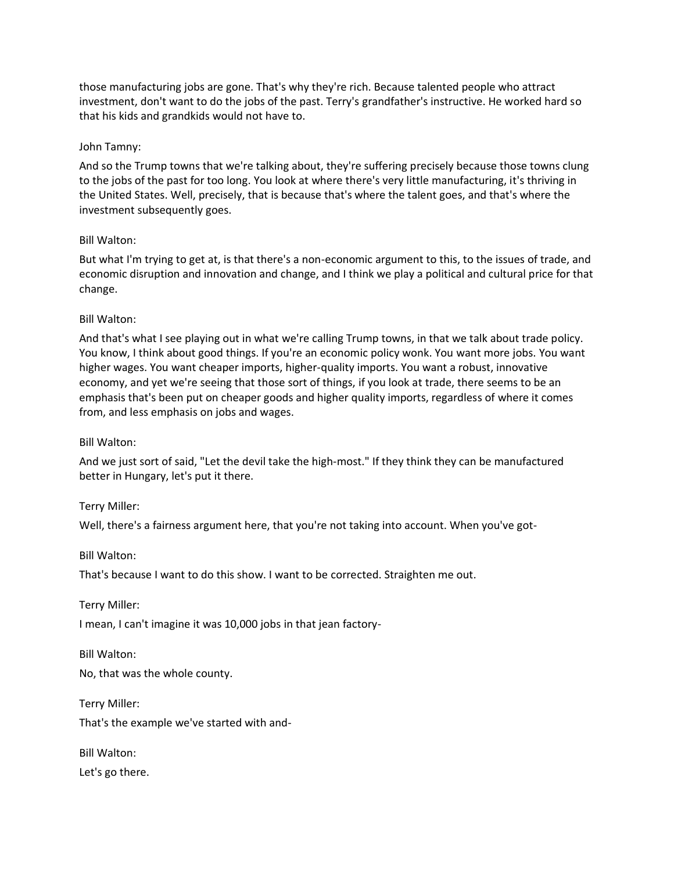those manufacturing jobs are gone. That's why they're rich. Because talented people who attract investment, don't want to do the jobs of the past. Terry's grandfather's instructive. He worked hard so that his kids and grandkids would not have to.

## John Tamny:

And so the Trump towns that we're talking about, they're suffering precisely because those towns clung to the jobs of the past for too long. You look at where there's very little manufacturing, it's thriving in the United States. Well, precisely, that is because that's where the talent goes, and that's where the investment subsequently goes.

#### Bill Walton:

But what I'm trying to get at, is that there's a non-economic argument to this, to the issues of trade, and economic disruption and innovation and change, and I think we play a political and cultural price for that change.

#### Bill Walton:

And that's what I see playing out in what we're calling Trump towns, in that we talk about trade policy. You know, I think about good things. If you're an economic policy wonk. You want more jobs. You want higher wages. You want cheaper imports, higher-quality imports. You want a robust, innovative economy, and yet we're seeing that those sort of things, if you look at trade, there seems to be an emphasis that's been put on cheaper goods and higher quality imports, regardless of where it comes from, and less emphasis on jobs and wages.

#### Bill Walton:

And we just sort of said, "Let the devil take the high-most." If they think they can be manufactured better in Hungary, let's put it there.

#### Terry Miller:

Well, there's a fairness argument here, that you're not taking into account. When you've got-

#### Bill Walton:

That's because I want to do this show. I want to be corrected. Straighten me out.

Terry Miller:

I mean, I can't imagine it was 10,000 jobs in that jean factory-

Bill Walton:

No, that was the whole county.

Terry Miller:

That's the example we've started with and-

Bill Walton: Let's go there.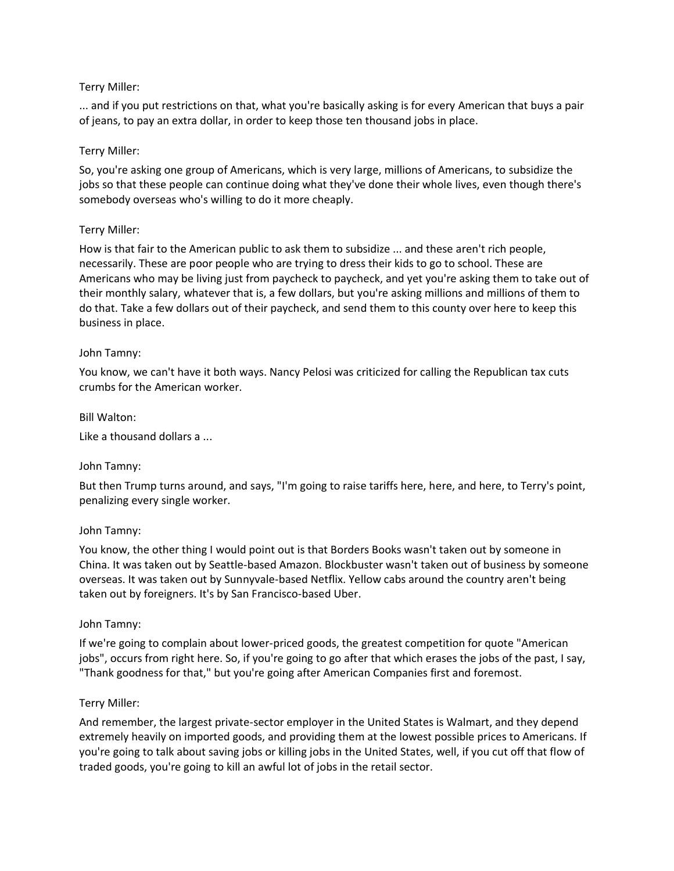# Terry Miller:

... and if you put restrictions on that, what you're basically asking is for every American that buys a pair of jeans, to pay an extra dollar, in order to keep those ten thousand jobs in place.

# Terry Miller:

So, you're asking one group of Americans, which is very large, millions of Americans, to subsidize the jobs so that these people can continue doing what they've done their whole lives, even though there's somebody overseas who's willing to do it more cheaply.

# Terry Miller:

How is that fair to the American public to ask them to subsidize ... and these aren't rich people, necessarily. These are poor people who are trying to dress their kids to go to school. These are Americans who may be living just from paycheck to paycheck, and yet you're asking them to take out of their monthly salary, whatever that is, a few dollars, but you're asking millions and millions of them to do that. Take a few dollars out of their paycheck, and send them to this county over here to keep this business in place.

## John Tamny:

You know, we can't have it both ways. Nancy Pelosi was criticized for calling the Republican tax cuts crumbs for the American worker.

## Bill Walton:

Like a thousand dollars a ...

## John Tamny:

But then Trump turns around, and says, "I'm going to raise tariffs here, here, and here, to Terry's point, penalizing every single worker.

## John Tamny:

You know, the other thing I would point out is that Borders Books wasn't taken out by someone in China. It was taken out by Seattle-based Amazon. Blockbuster wasn't taken out of business by someone overseas. It was taken out by Sunnyvale-based Netflix. Yellow cabs around the country aren't being taken out by foreigners. It's by San Francisco-based Uber.

## John Tamny:

If we're going to complain about lower-priced goods, the greatest competition for quote "American jobs", occurs from right here. So, if you're going to go after that which erases the jobs of the past, I say, "Thank goodness for that," but you're going after American Companies first and foremost.

## Terry Miller:

And remember, the largest private-sector employer in the United States is Walmart, and they depend extremely heavily on imported goods, and providing them at the lowest possible prices to Americans. If you're going to talk about saving jobs or killing jobs in the United States, well, if you cut off that flow of traded goods, you're going to kill an awful lot of jobs in the retail sector.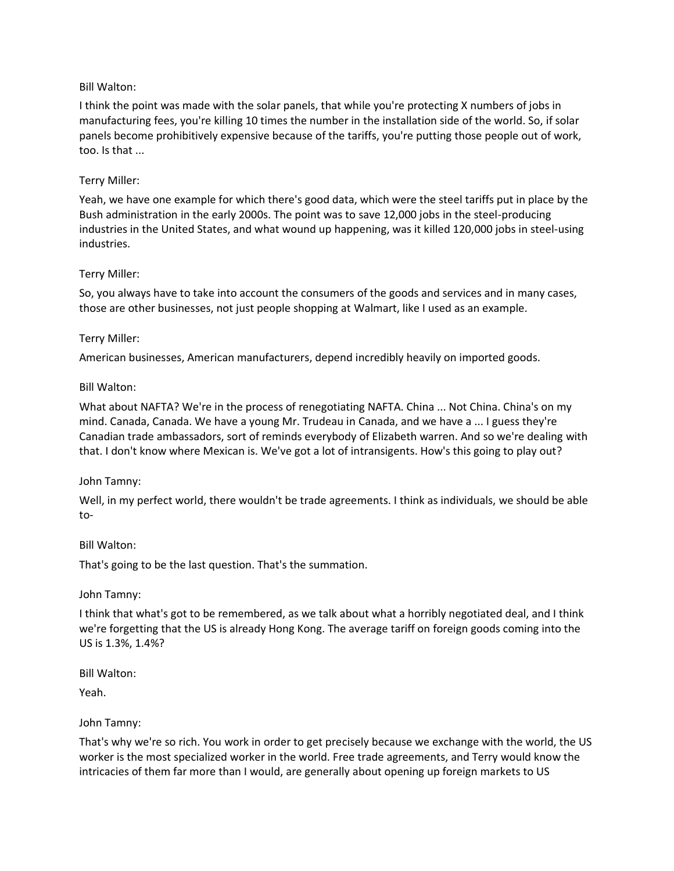I think the point was made with the solar panels, that while you're protecting X numbers of jobs in manufacturing fees, you're killing 10 times the number in the installation side of the world. So, if solar panels become prohibitively expensive because of the tariffs, you're putting those people out of work, too. Is that ...

## Terry Miller:

Yeah, we have one example for which there's good data, which were the steel tariffs put in place by the Bush administration in the early 2000s. The point was to save 12,000 jobs in the steel-producing industries in the United States, and what wound up happening, was it killed 120,000 jobs in steel-using industries.

## Terry Miller:

So, you always have to take into account the consumers of the goods and services and in many cases, those are other businesses, not just people shopping at Walmart, like I used as an example.

# Terry Miller:

American businesses, American manufacturers, depend incredibly heavily on imported goods.

# Bill Walton:

What about NAFTA? We're in the process of renegotiating NAFTA. China ... Not China. China's on my mind. Canada, Canada. We have a young Mr. Trudeau in Canada, and we have a ... I guess they're Canadian trade ambassadors, sort of reminds everybody of Elizabeth warren. And so we're dealing with that. I don't know where Mexican is. We've got a lot of intransigents. How's this going to play out?

## John Tamny:

Well, in my perfect world, there wouldn't be trade agreements. I think as individuals, we should be able to-

## Bill Walton:

That's going to be the last question. That's the summation.

## John Tamny:

I think that what's got to be remembered, as we talk about what a horribly negotiated deal, and I think we're forgetting that the US is already Hong Kong. The average tariff on foreign goods coming into the US is 1.3%, 1.4%?

Bill Walton:

Yeah.

## John Tamny:

That's why we're so rich. You work in order to get precisely because we exchange with the world, the US worker is the most specialized worker in the world. Free trade agreements, and Terry would know the intricacies of them far more than I would, are generally about opening up foreign markets to US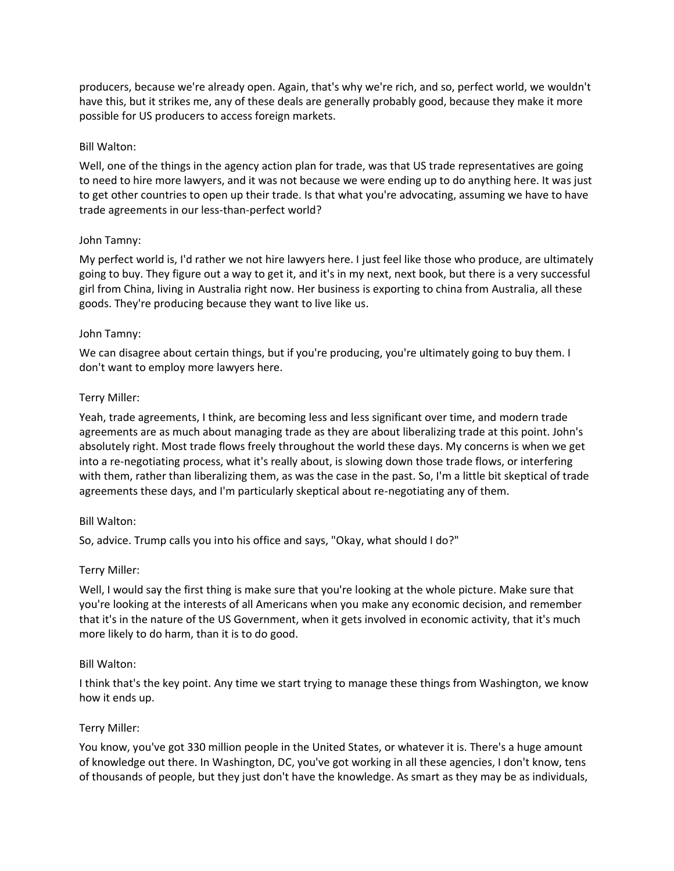producers, because we're already open. Again, that's why we're rich, and so, perfect world, we wouldn't have this, but it strikes me, any of these deals are generally probably good, because they make it more possible for US producers to access foreign markets.

## Bill Walton:

Well, one of the things in the agency action plan for trade, was that US trade representatives are going to need to hire more lawyers, and it was not because we were ending up to do anything here. It was just to get other countries to open up their trade. Is that what you're advocating, assuming we have to have trade agreements in our less-than-perfect world?

#### John Tamny:

My perfect world is, I'd rather we not hire lawyers here. I just feel like those who produce, are ultimately going to buy. They figure out a way to get it, and it's in my next, next book, but there is a very successful girl from China, living in Australia right now. Her business is exporting to china from Australia, all these goods. They're producing because they want to live like us.

#### John Tamny:

We can disagree about certain things, but if you're producing, you're ultimately going to buy them. I don't want to employ more lawyers here.

#### Terry Miller:

Yeah, trade agreements, I think, are becoming less and less significant over time, and modern trade agreements are as much about managing trade as they are about liberalizing trade at this point. John's absolutely right. Most trade flows freely throughout the world these days. My concerns is when we get into a re-negotiating process, what it's really about, is slowing down those trade flows, or interfering with them, rather than liberalizing them, as was the case in the past. So, I'm a little bit skeptical of trade agreements these days, and I'm particularly skeptical about re-negotiating any of them.

## Bill Walton:

So, advice. Trump calls you into his office and says, "Okay, what should I do?"

## Terry Miller:

Well, I would say the first thing is make sure that you're looking at the whole picture. Make sure that you're looking at the interests of all Americans when you make any economic decision, and remember that it's in the nature of the US Government, when it gets involved in economic activity, that it's much more likely to do harm, than it is to do good.

## Bill Walton:

I think that's the key point. Any time we start trying to manage these things from Washington, we know how it ends up.

## Terry Miller:

You know, you've got 330 million people in the United States, or whatever it is. There's a huge amount of knowledge out there. In Washington, DC, you've got working in all these agencies, I don't know, tens of thousands of people, but they just don't have the knowledge. As smart as they may be as individuals,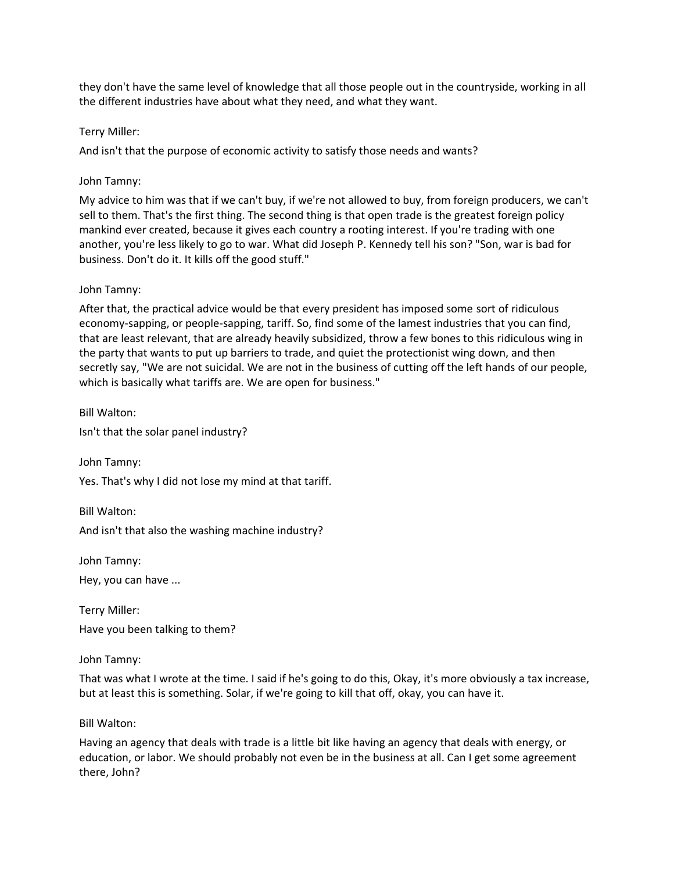they don't have the same level of knowledge that all those people out in the countryside, working in all the different industries have about what they need, and what they want.

## Terry Miller:

And isn't that the purpose of economic activity to satisfy those needs and wants?

## John Tamny:

My advice to him was that if we can't buy, if we're not allowed to buy, from foreign producers, we can't sell to them. That's the first thing. The second thing is that open trade is the greatest foreign policy mankind ever created, because it gives each country a rooting interest. If you're trading with one another, you're less likely to go to war. What did Joseph P. Kennedy tell his son? "Son, war is bad for business. Don't do it. It kills off the good stuff."

# John Tamny:

After that, the practical advice would be that every president has imposed some sort of ridiculous economy-sapping, or people-sapping, tariff. So, find some of the lamest industries that you can find, that are least relevant, that are already heavily subsidized, throw a few bones to this ridiculous wing in the party that wants to put up barriers to trade, and quiet the protectionist wing down, and then secretly say, "We are not suicidal. We are not in the business of cutting off the left hands of our people, which is basically what tariffs are. We are open for business."

Bill Walton:

Isn't that the solar panel industry?

John Tamny:

Yes. That's why I did not lose my mind at that tariff.

Bill Walton: And isn't that also the washing machine industry?

John Tamny:

Hey, you can have ...

Terry Miller: Have you been talking to them?

John Tamny:

That was what I wrote at the time. I said if he's going to do this, Okay, it's more obviously a tax increase, but at least this is something. Solar, if we're going to kill that off, okay, you can have it.

## Bill Walton:

Having an agency that deals with trade is a little bit like having an agency that deals with energy, or education, or labor. We should probably not even be in the business at all. Can I get some agreement there, John?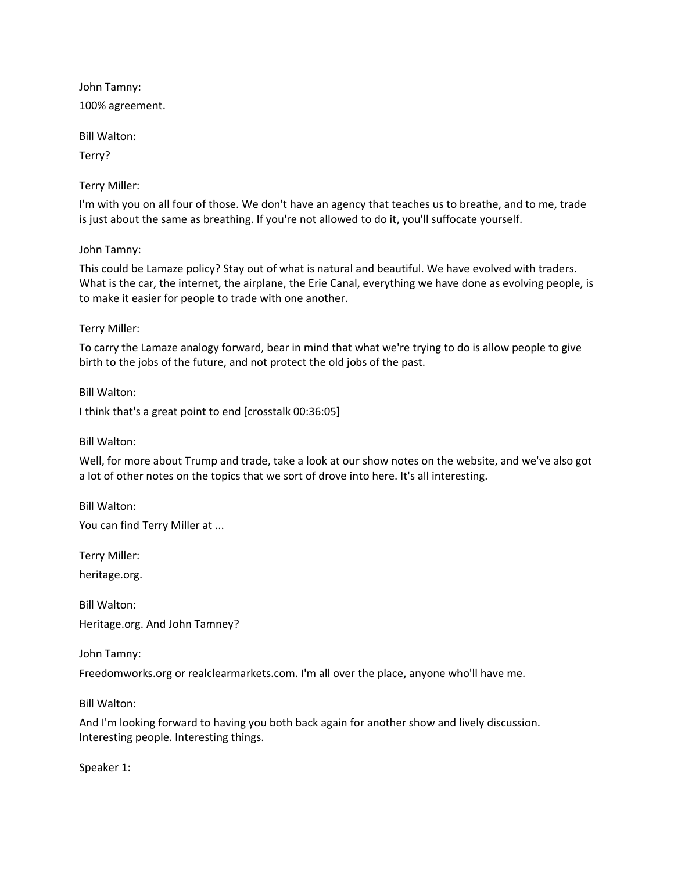John Tamny: 100% agreement.

Bill Walton:

Terry?

Terry Miller:

I'm with you on all four of those. We don't have an agency that teaches us to breathe, and to me, trade is just about the same as breathing. If you're not allowed to do it, you'll suffocate yourself.

John Tamny:

This could be Lamaze policy? Stay out of what is natural and beautiful. We have evolved with traders. What is the car, the internet, the airplane, the Erie Canal, everything we have done as evolving people, is to make it easier for people to trade with one another.

Terry Miller:

To carry the Lamaze analogy forward, bear in mind that what we're trying to do is allow people to give birth to the jobs of the future, and not protect the old jobs of the past.

Bill Walton:

I think that's a great point to end [crosstalk 00:36:05]

Bill Walton:

Well, for more about Trump and trade, take a look at our show notes on the website, and we've also got a lot of other notes on the topics that we sort of drove into here. It's all interesting.

Bill Walton:

You can find Terry Miller at ...

Terry Miller:

heritage.org.

Bill Walton: Heritage.org. And John Tamney?

John Tamny:

Freedomworks.org or realclearmarkets.com. I'm all over the place, anyone who'll have me.

Bill Walton:

And I'm looking forward to having you both back again for another show and lively discussion. Interesting people. Interesting things.

Speaker 1: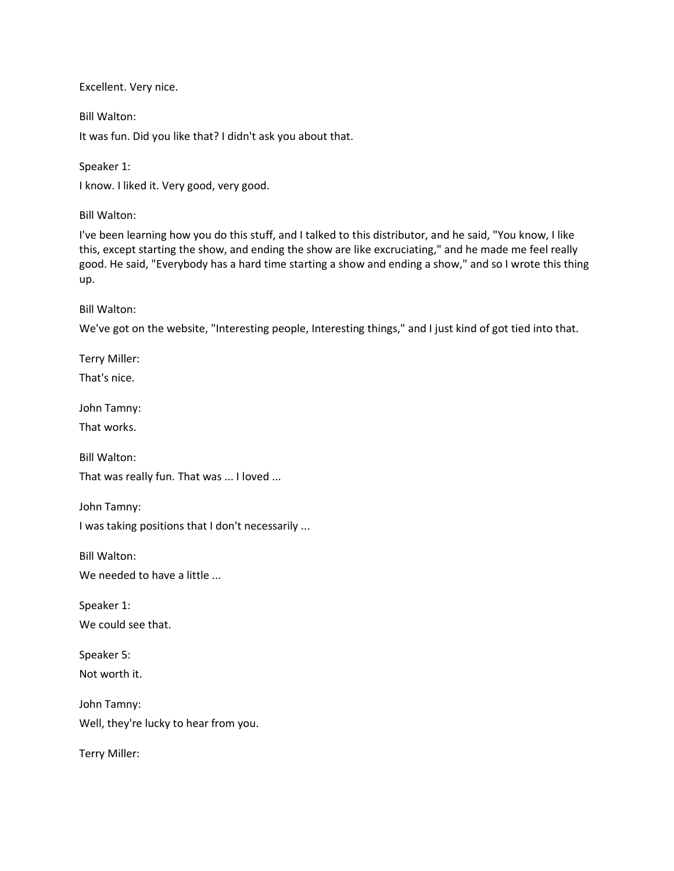Excellent. Very nice.

Bill Walton:

It was fun. Did you like that? I didn't ask you about that.

Speaker 1:

I know. I liked it. Very good, very good.

Bill Walton:

I've been learning how you do this stuff, and I talked to this distributor, and he said, "You know, I like this, except starting the show, and ending the show are like excruciating," and he made me feel really good. He said, "Everybody has a hard time starting a show and ending a show," and so I wrote this thing up.

Bill Walton:

We've got on the website, "Interesting people, Interesting things," and I just kind of got tied into that.

Terry Miller:

That's nice.

John Tamny:

That works.

Bill Walton:

That was really fun. That was ... I loved ...

John Tamny:

I was taking positions that I don't necessarily ...

Bill Walton: We needed to have a little ...

Speaker 1: We could see that.

Speaker 5: Not worth it.

John Tamny: Well, they're lucky to hear from you.

Terry Miller: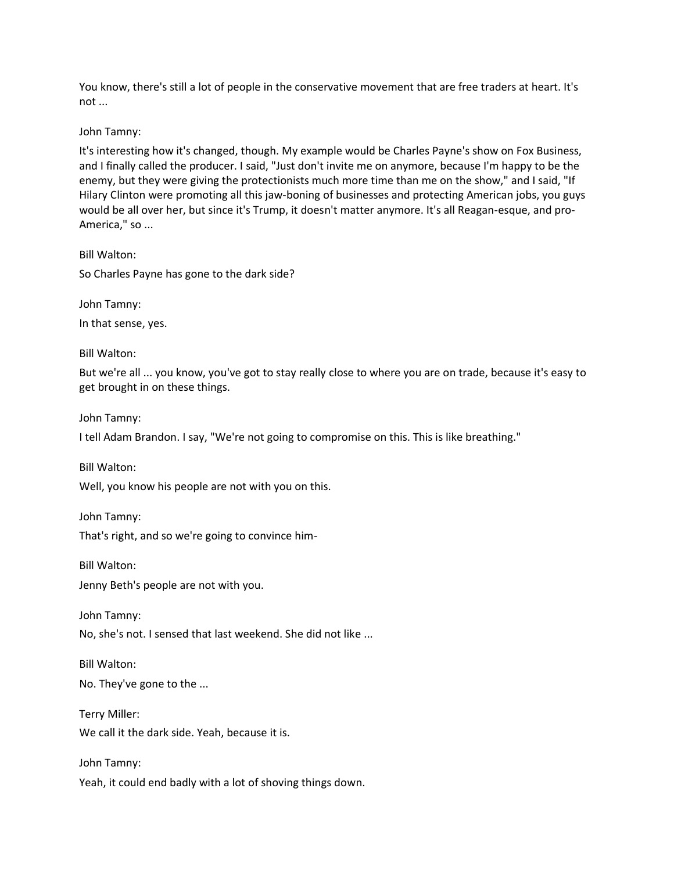You know, there's still a lot of people in the conservative movement that are free traders at heart. It's not ...

John Tamny:

It's interesting how it's changed, though. My example would be Charles Payne's show on Fox Business, and I finally called the producer. I said, "Just don't invite me on anymore, because I'm happy to be the enemy, but they were giving the protectionists much more time than me on the show," and I said, "If Hilary Clinton were promoting all this jaw-boning of businesses and protecting American jobs, you guys would be all over her, but since it's Trump, it doesn't matter anymore. It's all Reagan-esque, and pro-America," so ...

Bill Walton:

So Charles Payne has gone to the dark side?

John Tamny:

In that sense, yes.

Bill Walton:

But we're all ... you know, you've got to stay really close to where you are on trade, because it's easy to get brought in on these things.

John Tamny:

I tell Adam Brandon. I say, "We're not going to compromise on this. This is like breathing."

Bill Walton:

Well, you know his people are not with you on this.

John Tamny: That's right, and so we're going to convince him-

Bill Walton:

Jenny Beth's people are not with you.

John Tamny:

No, she's not. I sensed that last weekend. She did not like ...

Bill Walton:

No. They've gone to the ...

Terry Miller: We call it the dark side. Yeah, because it is.

John Tamny: Yeah, it could end badly with a lot of shoving things down.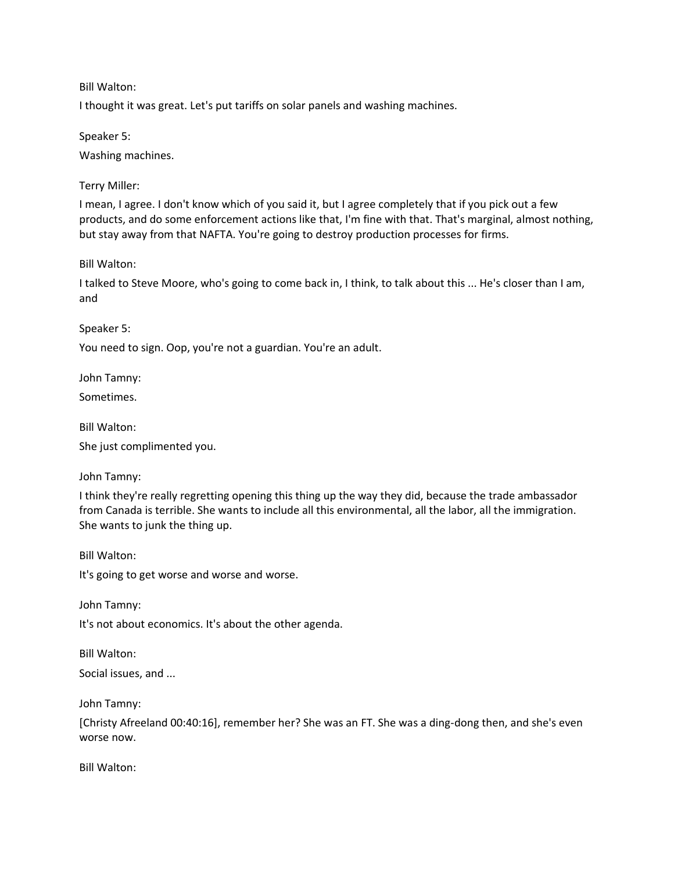I thought it was great. Let's put tariffs on solar panels and washing machines.

Speaker 5:

Washing machines.

Terry Miller:

I mean, I agree. I don't know which of you said it, but I agree completely that if you pick out a few products, and do some enforcement actions like that, I'm fine with that. That's marginal, almost nothing, but stay away from that NAFTA. You're going to destroy production processes for firms.

Bill Walton:

I talked to Steve Moore, who's going to come back in, I think, to talk about this ... He's closer than I am, and

Speaker 5:

You need to sign. Oop, you're not a guardian. You're an adult.

John Tamny:

Sometimes.

Bill Walton:

She just complimented you.

John Tamny:

I think they're really regretting opening this thing up the way they did, because the trade ambassador from Canada is terrible. She wants to include all this environmental, all the labor, all the immigration. She wants to junk the thing up.

Bill Walton:

It's going to get worse and worse and worse.

John Tamny: It's not about economics. It's about the other agenda.

Bill Walton: Social issues, and ...

John Tamny:

[Christy Afreeland 00:40:16], remember her? She was an FT. She was a ding-dong then, and she's even worse now.

Bill Walton: